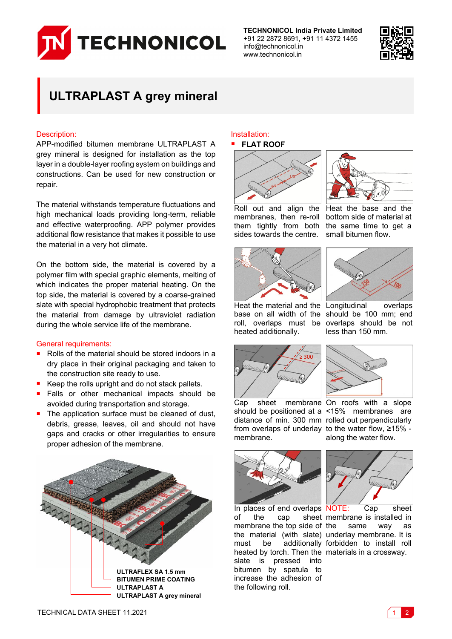

**TECHNONICOL India Private Limited** +91 22 2872 8691, +91 11 4372 1455 info@technonicol.in www.technonicol.in



# **ULTRAPLAST A grey mineral**

## Description:

APP-modified bitumen membrane ULTRAPLAST A grey mineral is designed for installation as the top layer in a double-layer roofing system on buildings and constructions. Can be used for new construction or repair.

The material withstands temperature fluctuations and high mechanical loads providing long-term, reliable and effective waterproofing. APP polymer provides additional flow resistance that makes it possible to use the material in a very hot climate.

On the bottom side, the material is covered by a polymer film with special graphic elements, melting of which indicates the proper material heating. On the top side, the material is covered by a coarse-grained slate with special hydrophobic treatment that protects the material from damage by ultraviolet radiation during the whole service life of the membrane.

### General requirements:

- Rolls of the material should be stored indoors in a dry place in their original packaging and taken to the construction site ready to use.
- Keep the rolls upright and do not stack pallets.
- **Falls or other mechanical impacts should be** avoided during transportation and storage.
- $\blacksquare$  The application surface must be cleaned of dust, debris, grease, leaves, oil and should not have gaps and cracks or other irregularities to ensure proper adhesion of the membrane.



#### Installation: **FLAT ROOF**



Roll out and align the membranes, then re-roll them tightly from both sides towards the centre.





Heat the base and the bottom side of material at the same time to get a small bitumen flow.



Heat the material and the Longitudinal overlaps base on all width of the should be 100 mm; end roll, overlaps must be heated additionally.



Cap sheet membrane On roofs with a slope should be positioned at a <15% membranes are distance of min. 300 mm rolled out perpendicularly from overlaps of underlay to the water flow, ≥15% membrane.



In places of end overlaps NOTE: Cap sheet of the cap sheet membrane is installed in membrane the top side of the material (with slate) underlay membrane. It is must be additionally forbidden to install roll heated by torch. Then the materials in a crossway. slate is pressed into bitumen by spatula to increase the adhesion of the following roll.



same way as